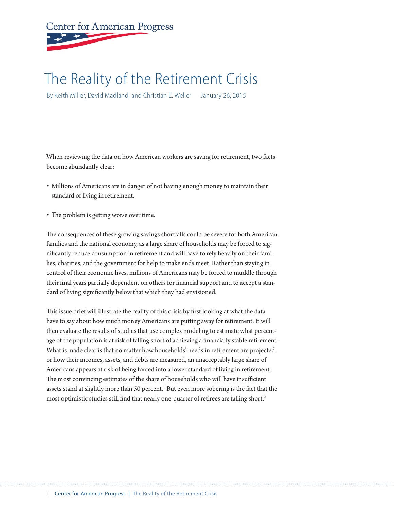# **Center for American Progress**

# The Reality of the Retirement Crisis

By Keith Miller, David Madland, and Christian E. Weller January 26, 2015

When reviewing the data on how American workers are saving for retirement, two facts become abundantly clear:

- Millions of Americans are in danger of not having enough money to maintain their standard of living in retirement.
- The problem is getting worse over time.

The consequences of these growing savings shortfalls could be severe for both American families and the national economy, as a large share of households may be forced to significantly reduce consumption in retirement and will have to rely heavily on their families, charities, and the government for help to make ends meet. Rather than staying in control of their economic lives, millions of Americans may be forced to muddle through their final years partially dependent on others for financial support and to accept a standard of living significantly below that which they had envisioned.

This issue brief will illustrate the reality of this crisis by first looking at what the data have to say about how much money Americans are putting away for retirement. It will then evaluate the results of studies that use complex modeling to estimate what percentage of the population is at risk of falling short of achieving a financially stable retirement. What is made clear is that no matter how households' needs in retirement are projected or how their incomes, assets, and debts are measured, an unacceptably large share of Americans appears at risk of being forced into a lower standard of living in retirement. The most convincing estimates of the share of households who will have insufficient assets stand at slightly more than 50 percent.<sup>1</sup> But even more sobering is the fact that the most optimistic studies still find that nearly one-quarter of retirees are falling short.<sup>2</sup>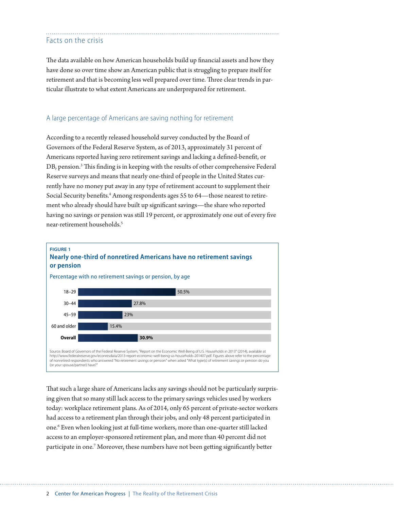# Facts on the crisis

The data available on how American households build up financial assets and how they have done so over time show an American public that is struggling to prepare itself for retirement and that is becoming less well prepared over time. Three clear trends in particular illustrate to what extent Americans are underprepared for retirement.

#### A large percentage of Americans are saving nothing for retirement

According to a recently released household survey conducted by the Board of Governors of the Federal Reserve System, as of 2013, approximately 31 percent of Americans reported having zero retirement savings and lacking a defined-benefit, or DB, pension.<sup>3</sup> This finding is in keeping with the results of other comprehensive Federal Reserve surveys and means that nearly one-third of people in the United States currently have no money put away in any type of retirement account to supplement their Social Security benefits.<sup>4</sup> Among respondents ages 55 to 64—those nearest to retirement who already should have built up significant savings—the share who reported having no savings or pension was still 19 percent, or approximately one out of every five near-retirement households.<sup>5</sup>



That such a large share of Americans lacks any savings should not be particularly surprising given that so many still lack access to the primary savings vehicles used by workers today: workplace retirement plans. As of 2014, only 65 percent of private-sector workers had access to a retirement plan through their jobs, and only 48 percent participated in one.<sup>6</sup> Even when looking just at full-time workers, more than one-quarter still lacked access to an employer-sponsored retirement plan, and more than 40 percent did not participate in one.<sup>7</sup> Moreover, these numbers have not been getting significantly better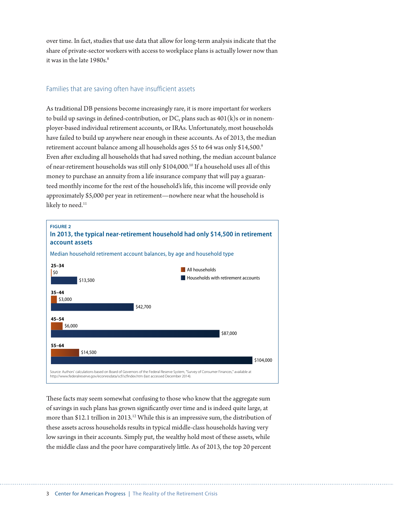over time. In fact, studies that use data that allow for long-term analysis indicate that the share of private-sector workers with access to workplace plans is actually lower now than it was in the late 1980s.<sup>8</sup>

### Families that are saving often have insufficient assets

As traditional DB pensions become increasingly rare, it is more important for workers to build up savings in defined-contribution, or DC, plans such as  $401(k)$ s or in nonemployer-based individual retirement accounts, or IRAs. Unfortunately, most households have failed to build up anywhere near enough in these accounts. As of 2013, the median retirement account balance among all households ages 55 to 64 was only \$14,500.<sup>9</sup> Even after excluding all households that had saved nothing, the median account balance of near-retirement households was still only \$104,000.10 If a household uses all of this money to purchase an annuity from a life insurance company that will pay a guaranteed monthly income for the rest of the household's life, this income will provide only approximately \$5,000 per year in retirement—nowhere near what the household is likely to need.<sup>11</sup>



These facts may seem somewhat confusing to those who know that the aggregate sum of savings in such plans has grown significantly over time and is indeed quite large, at more than \$12.1 trillion in 2013.<sup>12</sup> While this is an impressive sum, the distribution of these assets across households results in typical middle-class households having very low savings in their accounts. Simply put, the wealthy hold most of these assets, while the middle class and the poor have comparatively little. As of 2013, the top 20 percent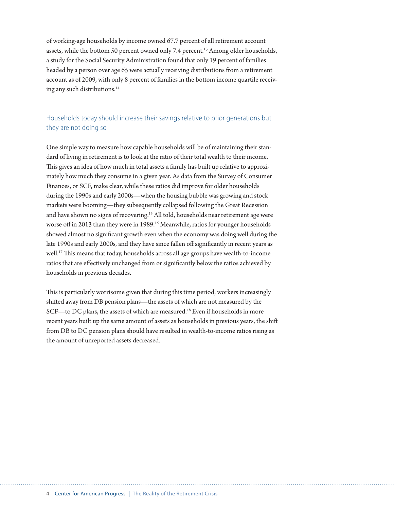of working-age households by income owned 67.7 percent of all retirement account assets, while the bottom 50 percent owned only 7.4 percent.<sup>13</sup> Among older households, a study for the Social Security Administration found that only 19 percent of families headed by a person over age 65 were actually receiving distributions from a retirement account as of 2009, with only 8 percent of families in the bottom income quartile receiving any such distributions.14

# Households today should increase their savings relative to prior generations but they are not doing so

One simple way to measure how capable households will be of maintaining their standard of living in retirement is to look at the ratio of their total wealth to their income. This gives an idea of how much in total assets a family has built up relative to approximately how much they consume in a given year. As data from the Survey of Consumer Finances, or SCF, make clear, while these ratios did improve for older households during the 1990s and early 2000s—when the housing bubble was growing and stock markets were booming—they subsequently collapsed following the Great Recession and have shown no signs of recovering.<sup>15</sup> All told, households near retirement age were worse off in 2013 than they were in 1989.<sup>16</sup> Meanwhile, ratios for younger households showed almost no significant growth even when the economy was doing well during the late 1990s and early 2000s, and they have since fallen off significantly in recent years as well.17 This means that today, households across all age groups have wealth-to-income ratios that are effectively unchanged from or significantly below the ratios achieved by households in previous decades.

This is particularly worrisome given that during this time period, workers increasingly shifted away from DB pension plans—the assets of which are not measured by the SCF—to DC plans, the assets of which are measured.<sup>18</sup> Even if households in more recent years built up the same amount of assets as households in previous years, the shift from DB to DC pension plans should have resulted in wealth-to-income ratios rising as the amount of unreported assets decreased.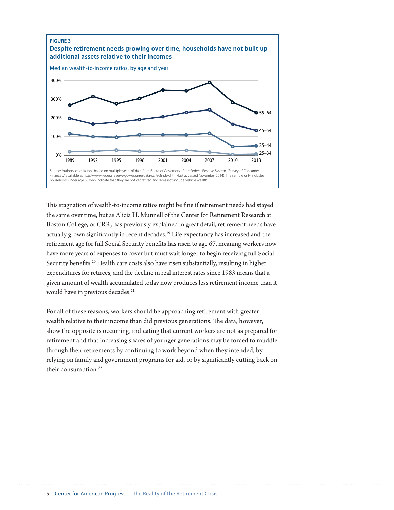

This stagnation of wealth-to-income ratios might be fine if retirement needs had stayed the same over time, but as Alicia H. Munnell of the Center for Retirement Research at Boston College, or CRR, has previously explained in great detail, retirement needs have actually grown significantly in recent decades.19 Life expectancy has increased and the retirement age for full Social Security benefits has risen to age 67, meaning workers now have more years of expenses to cover but must wait longer to begin receiving full Social Security benefits.<sup>20</sup> Health care costs also have risen substantially, resulting in higher expenditures for retirees, and the decline in real interest rates since 1983 means that a given amount of wealth accumulated today now produces less retirement income than it would have in previous decades.<sup>21</sup>

For all of these reasons, workers should be approaching retirement with greater wealth relative to their income than did previous generations. The data, however, show the opposite is occurring, indicating that current workers are not as prepared for retirement and that increasing shares of younger generations may be forced to muddle through their retirements by continuing to work beyond when they intended, by relying on family and government programs for aid, or by significantly cutting back on their consumption.<sup>22</sup>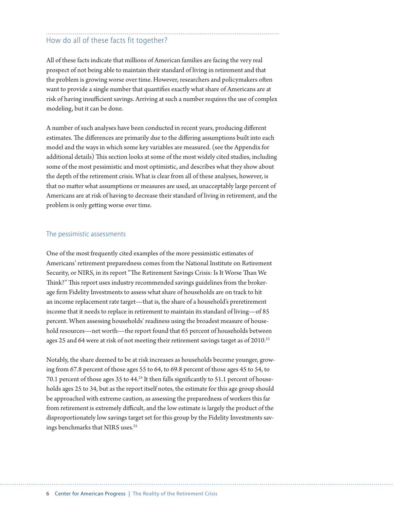# How do all of these facts fit together?

All of these facts indicate that millions of American families are facing the very real prospect of not being able to maintain their standard of living in retirement and that the problem is growing worse over time. However, researchers and policymakers often want to provide a single number that quantifies exactly what share of Americans are at risk of having insufficient savings. Arriving at such a number requires the use of complex modeling, but it can be done.

A number of such analyses have been conducted in recent years, producing different estimates. The differences are primarily due to the differing assumptions built into each model and the ways in which some key variables are measured. (see the Appendix for additional details) This section looks at some of the most widely cited studies, including some of the most pessimistic and most optimistic, and describes what they show about the depth of the retirement crisis. What is clear from all of these analyses, however, is that no matter what assumptions or measures are used, an unacceptably large percent of Americans are at risk of having to decrease their standard of living in retirement, and the problem is only getting worse over time.

#### The pessimistic assessments

One of the most frequently cited examples of the more pessimistic estimates of Americans' retirement preparedness comes from the National Institute on Retirement Security, or NIRS, in its report "The Retirement Savings Crisis: Is It Worse Than We Think?" This report uses industry recommended savings guidelines from the brokerage firm Fidelity Investments to assess what share of households are on track to hit an income replacement rate target—that is, the share of a household's preretirement income that it needs to replace in retirement to maintain its standard of living—of 85 percent. When assessing households' readiness using the broadest measure of household resources—net worth—the report found that 65 percent of households between ages 25 and 64 were at risk of not meeting their retirement savings target as of 2010.<sup>23</sup>

Notably, the share deemed to be at risk increases as households become younger, growing from 67.8 percent of those ages 55 to 64, to 69.8 percent of those ages 45 to 54, to 70.1 percent of those ages 35 to 44. $24$  It then falls significantly to 51.1 percent of households ages 25 to 34, but as the report itself notes, the estimate for this age group should be approached with extreme caution, as assessing the preparedness of workers this far from retirement is extremely difficult, and the low estimate is largely the product of the disproportionately low savings target set for this group by the Fidelity Investments savings benchmarks that NIRS uses.25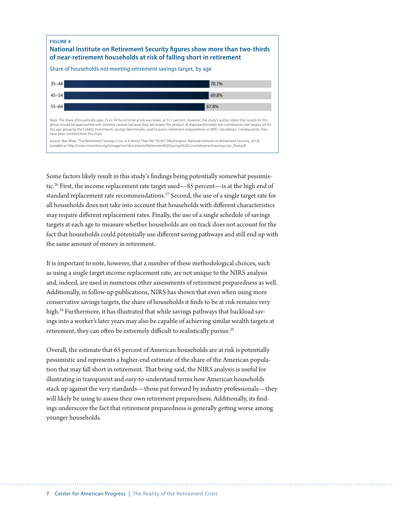

Some factors likely result in this study's findings being potentially somewhat pessimistic.<sup>26</sup> First, the income replacement rate target used—85 percent—is at the high end of standard replacement rate recommendations.<sup>27</sup> Second, the use of a single target rate for all households does not take into account that households with different characteristics may require different replacement rates. Finally, the use of a single schedule of savings targets at each age to measure whether households are on track does not account for the fact that households could potentially use different saving pathways and still end up with the same amount of money in retirement.

It is important to note, however, that a number of these methodological choices, such as using a single target income replacement rate, are not unique to the NIRS analysis and, indeed, are used in numerous other assessments of retirement preparedness as well. Additionally, in follow-up publications, NIRS has shown that even when using more conservative savings targets, the share of households it finds to be at risk remains very high.<sup>28</sup> Furthermore, it has illustrated that while savings pathways that backload savings into a worker's later years may also be capable of achieving similar wealth targets at retirement, they can often be extremely difficult to realistically pursue.<sup>29</sup>

Overall, the estimate that 65 percent of American households are at risk is potentially pessimistic and represents a higher-end estimate of the share of the American population that may fall short in retirement. That being said, the NIRS analysis is useful for illustrating in transparent and easy-to-understand terms how American households stack up against the very standards—those put forward by industry professionals—they will likely be using to assess their own retirement preparedness. Additionally, its findings underscore the fact that retirement preparedness is generally getting worse among younger households.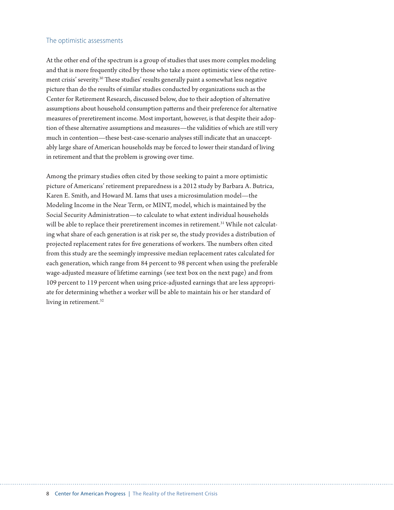#### The optimistic assessments

At the other end of the spectrum is a group of studies that uses more complex modeling and that is more frequently cited by those who take a more optimistic view of the retirement crisis' severity.30 These studies' results generally paint a somewhat less negative picture than do the results of similar studies conducted by organizations such as the Center for Retirement Research, discussed below, due to their adoption of alternative assumptions about household consumption patterns and their preference for alternative measures of preretirement income. Most important, however, is that despite their adoption of these alternative assumptions and measures—the validities of which are still very much in contention—these best-case-scenario analyses still indicate that an unacceptably large share of American households may be forced to lower their standard of living in retirement and that the problem is growing over time.

Among the primary studies often cited by those seeking to paint a more optimistic picture of Americans' retirement preparedness is a 2012 study by Barbara A. Butrica, Karen E. Smith, and Howard M. Iams that uses a microsimulation model—the Modeling Income in the Near Term, or MINT, model, which is maintained by the Social Security Administration—to calculate to what extent individual households will be able to replace their preretirement incomes in retirement.<sup>31</sup> While not calculating what share of each generation is at risk per se, the study provides a distribution of projected replacement rates for five generations of workers. The numbers often cited from this study are the seemingly impressive median replacement rates calculated for each generation, which range from 84 percent to 98 percent when using the preferable wage-adjusted measure of lifetime earnings (see text box on the next page) and from 109 percent to 119 percent when using price-adjusted earnings that are less appropriate for determining whether a worker will be able to maintain his or her standard of living in retirement.<sup>32</sup>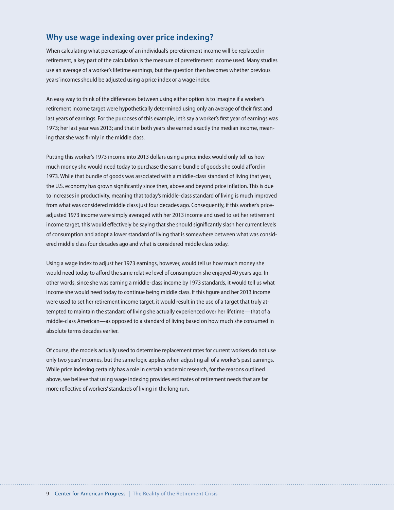# **Why use wage indexing over price indexing?**

When calculating what percentage of an individual's preretirement income will be replaced in retirement, a key part of the calculation is the measure of preretirement income used. Many studies use an average of a worker's lifetime earnings, but the question then becomes whether previous years' incomes should be adjusted using a price index or a wage index.

An easy way to think of the differences between using either option is to imagine if a worker's retirement income target were hypothetically determined using only an average of their first and last years of earnings. For the purposes of this example, let's say a worker's first year of earnings was 1973; her last year was 2013; and that in both years she earned exactly the median income, meaning that she was firmly in the middle class.

Putting this worker's 1973 income into 2013 dollars using a price index would only tell us how much money she would need today to purchase the same bundle of goods she could afford in 1973. While that bundle of goods was associated with a middle-class standard of living that year, the U.S. economy has grown significantly since then, above and beyond price inflation. This is due to increases in productivity, meaning that today's middle-class standard of living is much improved from what was considered middle class just four decades ago. Consequently, if this worker's priceadjusted 1973 income were simply averaged with her 2013 income and used to set her retirement income target, this would effectively be saying that she should significantly slash her current levels of consumption and adopt a lower standard of living that is somewhere between what was considered middle class four decades ago and what is considered middle class today.

Using a wage index to adjust her 1973 earnings, however, would tell us how much money she would need today to afford the same relative level of consumption she enjoyed 40 years ago. In other words, since she was earning a middle-class income by 1973 standards, it would tell us what income she would need today to continue being middle class. If this figure and her 2013 income were used to set her retirement income target, it would result in the use of a target that truly attempted to maintain the standard of living she actually experienced over her lifetime—that of a middle-class American—as opposed to a standard of living based on how much she consumed in absolute terms decades earlier.

Of course, the models actually used to determine replacement rates for current workers do not use only two years' incomes, but the same logic applies when adjusting all of a worker's past earnings. While price indexing certainly has a role in certain academic research, for the reasons outlined above, we believe that using wage indexing provides estimates of retirement needs that are far more reflective of workers' standards of living in the long run.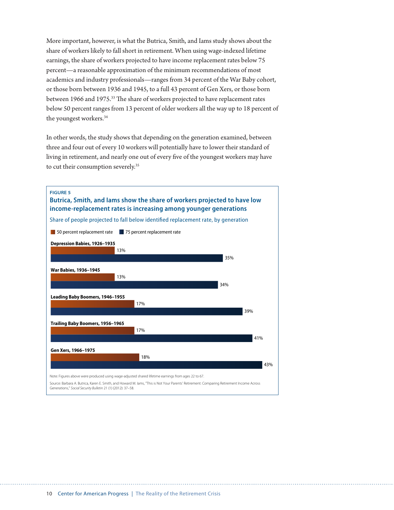More important, however, is what the Butrica, Smith, and Iams study shows about the share of workers likely to fall short in retirement. When using wage-indexed lifetime earnings, the share of workers projected to have income replacement rates below 75 percent—a reasonable approximation of the minimum recommendations of most academics and industry professionals—ranges from 34 percent of the War Baby cohort, or those born between 1936 and 1945, to a full 43 percent of Gen Xers, or those born between 1966 and 1975.<sup>33</sup> The share of workers projected to have replacement rates below 50 percent ranges from 13 percent of older workers all the way up to 18 percent of the youngest workers.<sup>34</sup>

In other words, the study shows that depending on the generation examined, between three and four out of every 10 workers will potentially have to lower their standard of living in retirement, and nearly one out of every five of the youngest workers may have to cut their consumption severely.<sup>35</sup>

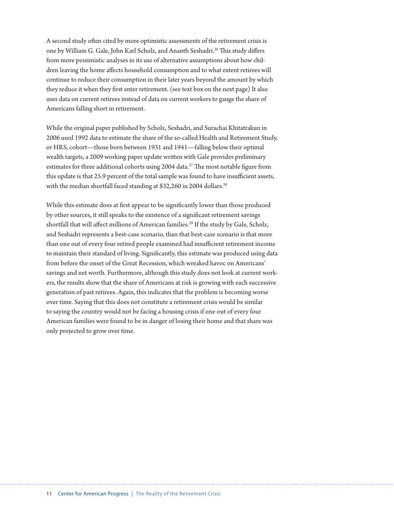A second study often cited by more optimistic assessments of the retirement crisis is one by William G. Gale, John Karl Scholz, and Ananth Seshadri.<sup>36</sup> This study differs from more pessimistic analyses in its use of alternative assumptions about how children leaving the home affects household consumption and to what extent retirees will continue to reduce their consumption in their later years beyond the amount by which they reduce it when they first enter retirement. (see text box on the next page) It also uses data on current retirees instead of data on current workers to gauge the share of Americans falling short in retirement.

While the original paper published by Scholz, Seshadri, and Surachai Khitatrakun in 2006 used 1992 data to estimate the share of the so-called Health and Retirement Study, or HRS, cohort—those born between 1931 and 1941—falling below their optimal wealth targets, a 2009 working paper update written with Gale provides preliminary estimates for three additional cohorts using 2004 data.<sup>37</sup> The most notable figure from this update is that 25.9 percent of the total sample was found to have insufficient assets, with the median shortfall faced standing at \$32,260 in 2004 dollars.<sup>38</sup>

While this estimate does at first appear to be significantly lower than those produced by other sources, it still speaks to the existence of a significant retirement savings shortfall that will affect millions of American families.<sup>39</sup> If the study by Gale, Scholz, and Seshadri represents a best-case scenario, than that best-case scenario is that more than one out of every four retired people examined had insufficient retirement income to maintain their standard of living. Significantly, this estimate was produced using data from before the onset of the Great Recession, which wreaked havoc on Americans' savings and net worth. Furthermore, although this study does not look at current workers, the results show that the share of Americans at risk is growing with each successive generation of past retirees. Again, this indicates that the problem is becoming worse over time. Saying that this does not constitute a retirement crisis would be similar to saying the country would not be facing a housing crisis if one out of every four American families were found to be in danger of losing their home and that share was only projected to grow over time.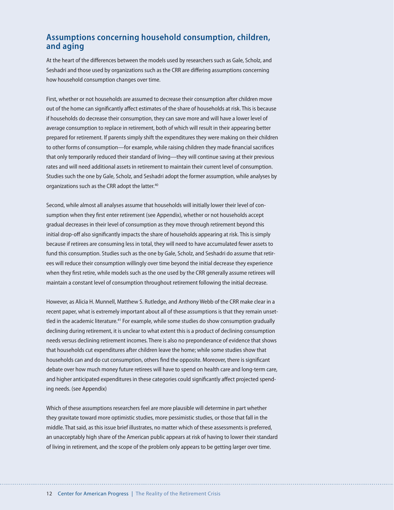# **Assumptions concerning household consumption, children, and aging**

At the heart of the differences between the models used by researchers such as Gale, Scholz, and Seshadri and those used by organizations such as the CRR are differing assumptions concerning how household consumption changes over time.

First, whether or not households are assumed to decrease their consumption after children move out of the home can significantly affect estimates of the share of households at risk. This is because if households do decrease their consumption, they can save more and will have a lower level of average consumption to replace in retirement, both of which will result in their appearing better prepared for retirement. If parents simply shift the expenditures they were making on their children to other forms of consumption—for example, while raising children they made financial sacrifices that only temporarily reduced their standard of living—they will continue saving at their previous rates and will need additional assets in retirement to maintain their current level of consumption. Studies such the one by Gale, Scholz, and Seshadri adopt the former assumption, while analyses by organizations such as the CRR adopt the latter.<sup>40</sup>

Second, while almost all analyses assume that households will initially lower their level of consumption when they first enter retirement (see Appendix), whether or not households accept gradual decreases in their level of consumption as they move through retirement beyond this initial drop-off also significantly impacts the share of households appearing at risk. This is simply because if retirees are consuming less in total, they will need to have accumulated fewer assets to fund this consumption. Studies such as the one by Gale, Scholz, and Seshadri do assume that retirees will reduce their consumption willingly over time beyond the initial decrease they experience when they first retire, while models such as the one used by the CRR generally assume retirees will maintain a constant level of consumption throughout retirement following the initial decrease.

However, as Alicia H. Munnell, Matthew S. Rutledge, and Anthony Webb of the CRR make clear in a recent paper, what is extremely important about all of these assumptions is that they remain unsettled in the academic literature.<sup>41</sup> For example, while some studies do show consumption gradually declining during retirement, it is unclear to what extent this is a product of declining consumption needs versus declining retirement incomes. There is also no preponderance of evidence that shows that households cut expenditures after children leave the home; while some studies show that households can and do cut consumption, others find the opposite. Moreover, there is significant debate over how much money future retirees will have to spend on health care and long-term care, and higher anticipated expenditures in these categories could significantly affect projected spending needs. (see Appendix)

Which of these assumptions researchers feel are more plausible will determine in part whether they gravitate toward more optimistic studies, more pessimistic studies, or those that fall in the middle. That said, as this issue brief illustrates, no matter which of these assessments is preferred, an unacceptably high share of the American public appears at risk of having to lower their standard of living in retirement, and the scope of the problem only appears to be getting larger over time.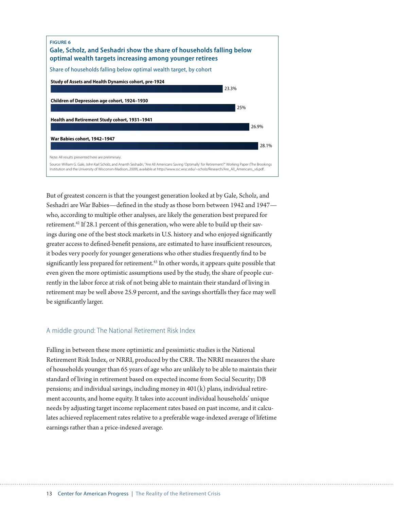

But of greatest concern is that the youngest generation looked at by Gale, Scholz, and Seshadri are War Babies—defined in the study as those born between 1942 and 1947 who, according to multiple other analyses, are likely the generation best prepared for retirement.<sup>42</sup> If 28.1 percent of this generation, who were able to build up their savings during one of the best stock markets in U.S. history and who enjoyed significantly greater access to defined-benefit pensions, are estimated to have insufficient resources, it bodes very poorly for younger generations who other studies frequently find to be significantly less prepared for retirement.<sup>43</sup> In other words, it appears quite possible that even given the more optimistic assumptions used by the study, the share of people currently in the labor force at risk of not being able to maintain their standard of living in retirement may be well above 25.9 percent, and the savings shortfalls they face may well be significantly larger.

#### A middle ground: The National Retirement Risk Index

Falling in between these more optimistic and pessimistic studies is the National Retirement Risk Index, or NRRI, produced by the CRR. The NRRI measures the share of households younger than 65 years of age who are unlikely to be able to maintain their standard of living in retirement based on expected income from Social Security; DB pensions; and individual savings, including money in  $401(k)$  plans, individual retirement accounts, and home equity. It takes into account individual households' unique needs by adjusting target income replacement rates based on past income, and it calculates achieved replacement rates relative to a preferable wage-indexed average of lifetime earnings rather than a price-indexed average.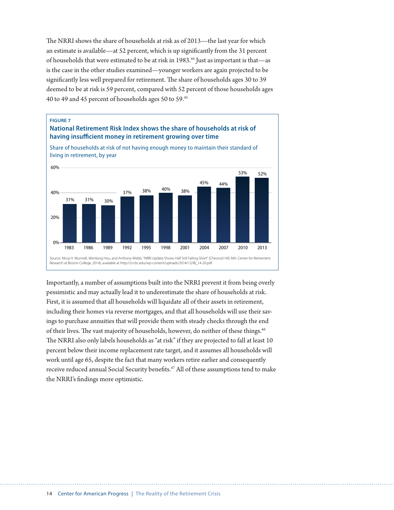The NRRI shows the share of households at risk as of 2013—the last year for which an estimate is available—at 52 percent, which is up significantly from the 31 percent of households that were estimated to be at risk in 1983.<sup>44</sup> Just as important is that—as is the case in the other studies examined—younger workers are again projected to be significantly less well prepared for retirement. The share of households ages 30 to 39 deemed to be at risk is 59 percent, compared with 52 percent of those households ages 40 to 49 and 45 percent of households ages 50 to 59.45





Share of households at risk of not having enough money to maintain their standard of living in retirement, by year

Importantly, a number of assumptions built into the NRRI prevent it from being overly pessimistic and may actually lead it to underestimate the share of households at risk. First, it is assumed that all households will liquidate all of their assets in retirement, including their homes via reverse mortgages, and that all households will use their savings to purchase annuities that will provide them with steady checks through the end of their lives. The vast majority of households, however, do neither of these things.<sup>46</sup> The NRRI also only labels households as "at risk" if they are projected to fall at least 10 percent below their income replacement rate target, and it assumes all households will work until age 65, despite the fact that many workers retire earlier and consequently receive reduced annual Social Security benefits.47 All of these assumptions tend to make the NRRI's findings more optimistic.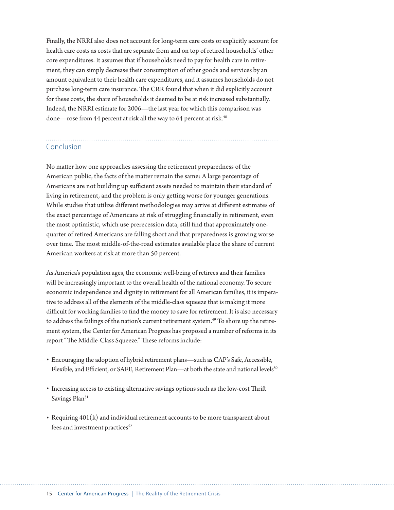Finally, the NRRI also does not account for long-term care costs or explicitly account for health care costs as costs that are separate from and on top of retired households' other core expenditures. It assumes that if households need to pay for health care in retirement, they can simply decrease their consumption of other goods and services by an amount equivalent to their health care expenditures, and it assumes households do not purchase long-term care insurance. The CRR found that when it did explicitly account for these costs, the share of households it deemed to be at risk increased substantially. Indeed, the NRRI estimate for 2006—the last year for which this comparison was done—rose from 44 percent at risk all the way to 64 percent at risk.<sup>48</sup>

# Conclusion

No matter how one approaches assessing the retirement preparedness of the American public, the facts of the matter remain the same: A large percentage of Americans are not building up sufficient assets needed to maintain their standard of living in retirement, and the problem is only getting worse for younger generations. While studies that utilize different methodologies may arrive at different estimates of the exact percentage of Americans at risk of struggling financially in retirement, even the most optimistic, which use prerecession data, still find that approximately onequarter of retired Americans are falling short and that preparedness is growing worse over time. The most middle-of-the-road estimates available place the share of current American workers at risk at more than 50 percent.

As America's population ages, the economic well-being of retirees and their families will be increasingly important to the overall health of the national economy. To secure economic independence and dignity in retirement for all American families, it is imperative to address all of the elements of the middle-class squeeze that is making it more difficult for working families to find the money to save for retirement. It is also necessary to address the failings of the nation's current retirement system.49 To shore up the retirement system, the Center for American Progress has proposed a number of reforms in its report "The Middle-Class Squeeze." These reforms include:

- Encouraging the adoption of hybrid retirement plans—such as CAP's Safe, Accessible, Flexible, and Efficient, or SAFE, Retirement Plan—at both the state and national levels<sup>50</sup>
- Increasing access to existing alternative savings options such as the low-cost Thrift Savings Plan<sup>51</sup>
- Requiring 401(k) and individual retirement accounts to be more transparent about fees and investment practices<sup>52</sup>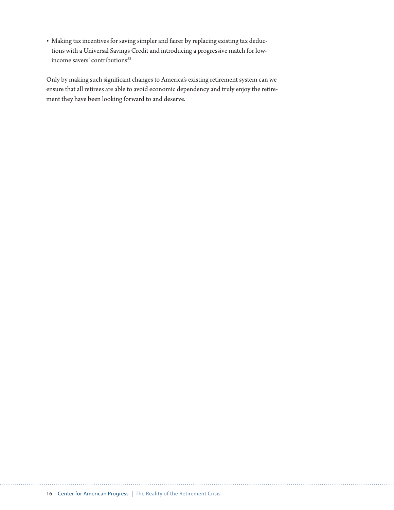• Making tax incentives for saving simpler and fairer by replacing existing tax deductions with a Universal Savings Credit and introducing a progressive match for lowincome savers' contributions<sup>53</sup>

Only by making such significant changes to America's existing retirement system can we ensure that all retirees are able to avoid economic dependency and truly enjoy the retirement they have been looking forward to and deserve.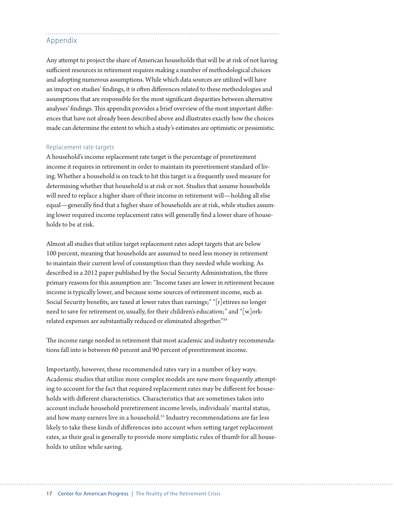# Appendix

Any attempt to project the share of American households that will be at risk of not having sufficient resources in retirement requires making a number of methodological choices and adopting numerous assumptions. While which data sources are utilized will have an impact on studies' findings, it is often differences related to these methodologies and assumptions that are responsible for the most significant disparities between alternative analyses' findings. This appendix provides a brief overview of the most important differences that have not already been described above and illustrates exactly how the choices made can determine the extent to which a study's estimates are optimistic or pessimistic.

#### Replacement rate targets

A household's income replacement rate target is the percentage of preretirement income it requires in retirement in order to maintain its preretirement standard of living. Whether a household is on track to hit this target is a frequently used measure for determining whether that household is at risk or not. Studies that assume households will need to replace a higher share of their income in retirement will—holding all else equal—generally find that a higher share of households are at risk, while studies assuming lower required income replacement rates will generally find a lower share of households to be at risk.

Almost all studies that utilize target replacement rates adopt targets that are below 100 percent, meaning that households are assumed to need less money in retirement to maintain their current level of consumption than they needed while working. As described in a 2012 paper published by the Social Security Administration, the three primary reasons for this assumption are: "Income taxes are lower in retirement because income is typically lower, and because some sources of retirement income, such as Social Security benefits, are taxed at lower rates than earnings;" "[r]etirees no longer need to save for retirement or, usually, for their children's education;" and "[w]orkrelated expenses are substantially reduced or eliminated altogether."54

The income range needed in retirement that most academic and industry recommendations fall into is between 60 percent and 90 percent of preretirement income.

Importantly, however, these recommended rates vary in a number of key ways. Academic studies that utilize more complex models are now more frequently attempting to account for the fact that required replacement rates may be different for households with different characteristics. Characteristics that are sometimes taken into account include household preretirement income levels, individuals' marital status, and how many earners live in a household.<sup>55</sup> Industry recommendations are far less likely to take these kinds of differences into account when setting target replacement rates, as their goal is generally to provide more simplistic rules of thumb for all households to utilize while saving.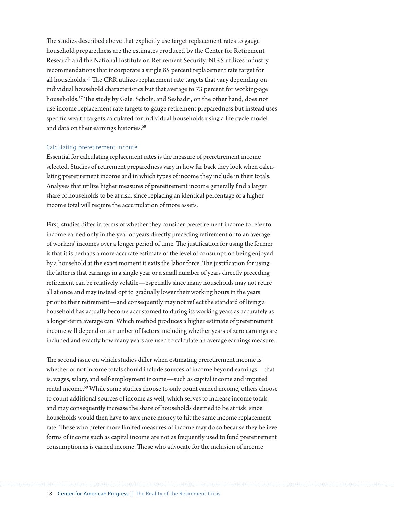The studies described above that explicitly use target replacement rates to gauge household preparedness are the estimates produced by the Center for Retirement Research and the National Institute on Retirement Security. NIRS utilizes industry recommendations that incorporate a single 85 percent replacement rate target for all households.<sup>56</sup> The CRR utilizes replacement rate targets that vary depending on individual household characteristics but that average to 73 percent for working-age households.57 The study by Gale, Scholz, and Seshadri, on the other hand, does not use income replacement rate targets to gauge retirement preparedness but instead uses specific wealth targets calculated for individual households using a life cycle model and data on their earnings histories.<sup>58</sup>

#### Calculating preretirement income

Essential for calculating replacement rates is the measure of preretirement income selected. Studies of retirement preparedness vary in how far back they look when calculating preretirement income and in which types of income they include in their totals. Analyses that utilize higher measures of preretirement income generally find a larger share of households to be at risk, since replacing an identical percentage of a higher income total will require the accumulation of more assets.

First, studies differ in terms of whether they consider preretirement income to refer to income earned only in the year or years directly preceding retirement or to an average of workers' incomes over a longer period of time. The justification for using the former is that it is perhaps a more accurate estimate of the level of consumption being enjoyed by a household at the exact moment it exits the labor force. The justification for using the latter is that earnings in a single year or a small number of years directly preceding retirement can be relatively volatile—especially since many households may not retire all at once and may instead opt to gradually lower their working hours in the years prior to their retirement—and consequently may not reflect the standard of living a household has actually become accustomed to during its working years as accurately as a longer-term average can. Which method produces a higher estimate of preretirement income will depend on a number of factors, including whether years of zero earnings are included and exactly how many years are used to calculate an average earnings measure.

The second issue on which studies differ when estimating preretirement income is whether or not income totals should include sources of income beyond earnings—that is, wages, salary, and self-employment income—such as capital income and imputed rental income.59 While some studies choose to only count earned income, others choose to count additional sources of income as well, which serves to increase income totals and may consequently increase the share of households deemed to be at risk, since households would then have to save more money to hit the same income replacement rate. Those who prefer more limited measures of income may do so because they believe forms of income such as capital income are not as frequently used to fund preretirement consumption as is earned income. Those who advocate for the inclusion of income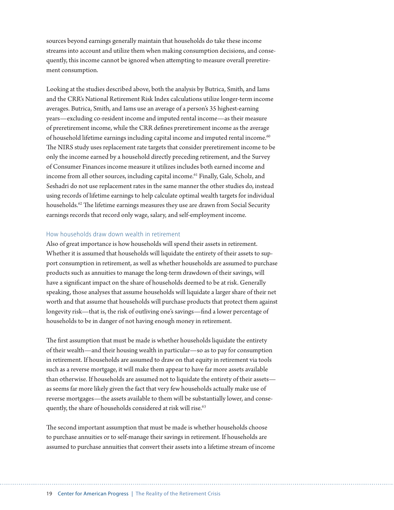sources beyond earnings generally maintain that households do take these income streams into account and utilize them when making consumption decisions, and consequently, this income cannot be ignored when attempting to measure overall preretirement consumption.

Looking at the studies described above, both the analysis by Butrica, Smith, and Iams and the CRR's National Retirement Risk Index calculations utilize longer-term income averages. Butrica, Smith, and Iams use an average of a person's 35 highest-earning years—excluding co-resident income and imputed rental income—as their measure of preretirement income, while the CRR defines preretirement income as the average of household lifetime earnings including capital income and imputed rental income.<sup>60</sup> The NIRS study uses replacement rate targets that consider preretirement income to be only the income earned by a household directly preceding retirement, and the Survey of Consumer Finances income measure it utilizes includes both earned income and income from all other sources, including capital income.61 Finally, Gale, Scholz, and Seshadri do not use replacement rates in the same manner the other studies do, instead using records of lifetime earnings to help calculate optimal wealth targets for individual households.<sup>62</sup> The lifetime earnings measures they use are drawn from Social Security earnings records that record only wage, salary, and self-employment income.

#### How households draw down wealth in retirement

Also of great importance is how households will spend their assets in retirement. Whether it is assumed that households will liquidate the entirety of their assets to support consumption in retirement, as well as whether households are assumed to purchase products such as annuities to manage the long-term drawdown of their savings, will have a significant impact on the share of households deemed to be at risk. Generally speaking, those analyses that assume households will liquidate a larger share of their net worth and that assume that households will purchase products that protect them against longevity risk—that is, the risk of outliving one's savings—find a lower percentage of households to be in danger of not having enough money in retirement.

The first assumption that must be made is whether households liquidate the entirety of their wealth—and their housing wealth in particular—so as to pay for consumption in retirement. If households are assumed to draw on that equity in retirement via tools such as a reverse mortgage, it will make them appear to have far more assets available than otherwise. If households are assumed not to liquidate the entirety of their assets as seems far more likely given the fact that very few households actually make use of reverse mortgages—the assets available to them will be substantially lower, and consequently, the share of households considered at risk will rise.<sup>63</sup>

The second important assumption that must be made is whether households choose to purchase annuities or to self-manage their savings in retirement. If households are assumed to purchase annuities that convert their assets into a lifetime stream of income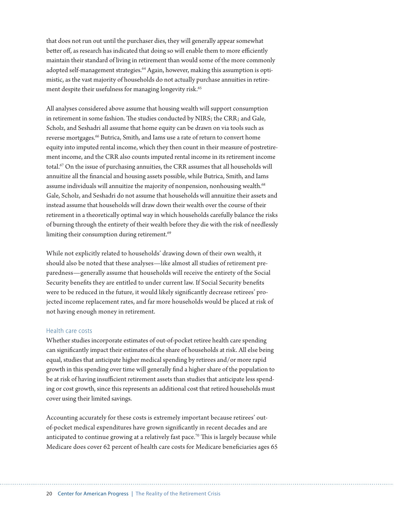that does not run out until the purchaser dies, they will generally appear somewhat better off, as research has indicated that doing so will enable them to more efficiently maintain their standard of living in retirement than would some of the more commonly adopted self-management strategies.<sup>64</sup> Again, however, making this assumption is optimistic, as the vast majority of households do not actually purchase annuities in retirement despite their usefulness for managing longevity risk.<sup>65</sup>

All analyses considered above assume that housing wealth will support consumption in retirement in some fashion. The studies conducted by NIRS; the CRR; and Gale, Scholz, and Seshadri all assume that home equity can be drawn on via tools such as reverse mortgages.<sup>66</sup> Butrica, Smith, and Iams use a rate of return to convert home equity into imputed rental income, which they then count in their measure of postretirement income, and the CRR also counts imputed rental income in its retirement income total.67 On the issue of purchasing annuities, the CRR assumes that all households will annuitize all the financial and housing assets possible, while Butrica, Smith, and Iams assume individuals will annuitize the majority of nonpension, nonhousing wealth.<sup>68</sup> Gale, Scholz, and Seshadri do not assume that households will annuitize their assets and instead assume that households will draw down their wealth over the course of their retirement in a theoretically optimal way in which households carefully balance the risks of burning through the entirety of their wealth before they die with the risk of needlessly limiting their consumption during retirement.<sup>69</sup>

While not explicitly related to households' drawing down of their own wealth, it should also be noted that these analyses—like almost all studies of retirement preparedness—generally assume that households will receive the entirety of the Social Security benefits they are entitled to under current law. If Social Security benefits were to be reduced in the future, it would likely significantly decrease retirees' projected income replacement rates, and far more households would be placed at risk of not having enough money in retirement.

#### Health care costs

Whether studies incorporate estimates of out-of-pocket retiree health care spending can significantly impact their estimates of the share of households at risk. All else being equal, studies that anticipate higher medical spending by retirees and/or more rapid growth in this spending over time will generally find a higher share of the population to be at risk of having insufficient retirement assets than studies that anticipate less spending or cost growth, since this represents an additional cost that retired households must cover using their limited savings.

Accounting accurately for these costs is extremely important because retirees' outof-pocket medical expenditures have grown significantly in recent decades and are anticipated to continue growing at a relatively fast pace.<sup>70</sup> This is largely because while Medicare does cover 62 percent of health care costs for Medicare beneficiaries ages 65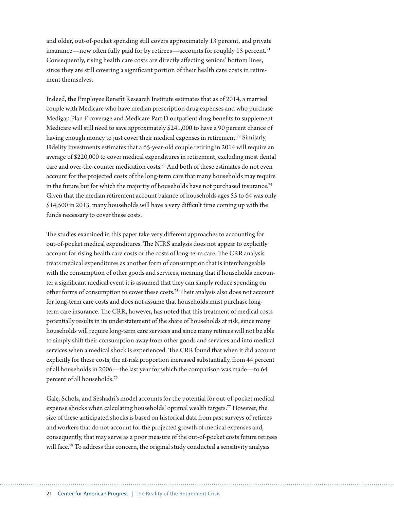and older, out-of-pocket spending still covers approximately 13 percent, and private insurance—now often fully paid for by retirees—accounts for roughly 15 percent.<sup>71</sup> Consequently, rising health care costs are directly affecting seniors' bottom lines, since they are still covering a significant portion of their health care costs in retirement themselves.

Indeed, the Employee Benefit Research Institute estimates that as of 2014, a married couple with Medicare who have median prescription drug expenses and who purchase Medigap Plan F coverage and Medicare Part D outpatient drug benefits to supplement Medicare will still need to save approximately \$241,000 to have a 90 percent chance of having enough money to just cover their medical expenses in retirement.<sup>72</sup> Similarly, Fidelity Investments estimates that a 65-year-old couple retiring in 2014 will require an average of \$220,000 to cover medical expenditures in retirement, excluding most dental care and over-the-counter medication costs.73 And both of these estimates do not even account for the projected costs of the long-term care that many households may require in the future but for which the majority of households have not purchased insurance.<sup>74</sup> Given that the median retirement account balance of households ages 55 to 64 was only \$14,500 in 2013, many households will have a very difficult time coming up with the funds necessary to cover these costs.

The studies examined in this paper take very different approaches to accounting for out-of-pocket medical expenditures. The NIRS analysis does not appear to explicitly account for rising health care costs or the costs of long-term care. The CRR analysis treats medical expenditures as another form of consumption that is interchangeable with the consumption of other goods and services, meaning that if households encounter a significant medical event it is assumed that they can simply reduce spending on other forms of consumption to cover these costs.75 Their analysis also does not account for long-term care costs and does not assume that households must purchase longterm care insurance. The CRR, however, has noted that this treatment of medical costs potentially results in its understatement of the share of households at risk, since many households will require long-term care services and since many retirees will not be able to simply shift their consumption away from other goods and services and into medical services when a medical shock is experienced. The CRR found that when it did account explicitly for these costs, the at-risk proportion increased substantially, from 44 percent of all households in 2006—the last year for which the comparison was made—to 64 percent of all households.76

Gale, Scholz, and Seshadri's model accounts for the potential for out-of-pocket medical expense shocks when calculating households' optimal wealth targets.77 However, the size of these anticipated shocks is based on historical data from past surveys of retirees and workers that do not account for the projected growth of medical expenses and, consequently, that may serve as a poor measure of the out-of-pocket costs future retirees will face.<sup>78</sup> To address this concern, the original study conducted a sensitivity analysis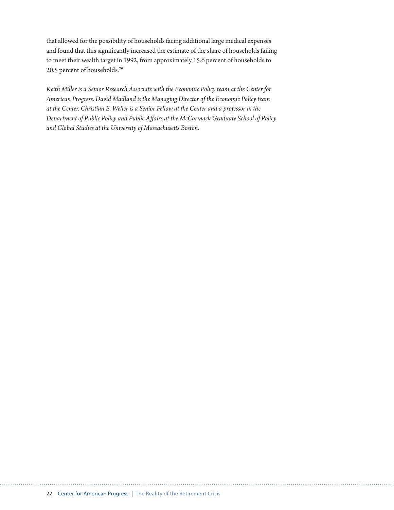that allowed for the possibility of households facing additional large medical expenses and found that this significantly increased the estimate of the share of households failing to meet their wealth target in 1992, from approximately 15.6 percent of households to 20.5 percent of households.79

*Keith Miller is a Senior Research Associate with the Economic Policy team at the Center for American Progress. David Madland is the Managing Director of the Economic Policy team at the Center. Christian E. Weller is a Senior Fellow at the Center and a professor in the Department of Public Policy and Public Affairs at the McCormack Graduate School of Policy and Global Studies at the University of Massachusetts Boston.*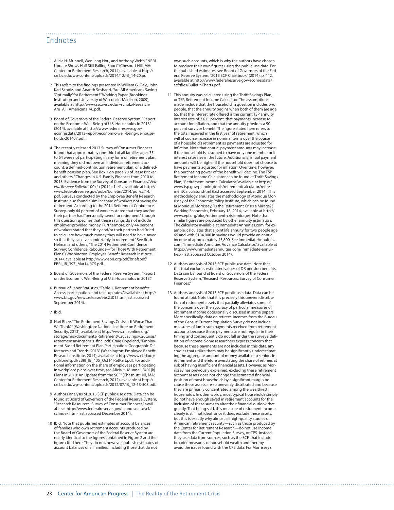## Endnotes

- 1 Alicia H. Munnell, Wenliang Hou, and Anthony Webb, "NRRI Update Shows Half Still Falling Short" (Chesnutt Hill, MA: Center for Retirement Research, 2014), available at [http://](http://crr.bc.edu/wp-content/uploads/2014/12/IB_14-20.pdf) [crr.bc.edu/wp-content/uploads/2014/12/IB\\_14-20.pdf](http://crr.bc.edu/wp-content/uploads/2014/12/IB_14-20.pdf).
- 2 This refers to the findings presented in William G. Gale, John Karl Scholz, and Ananth Seshadri, "Are All Americans Saving 'Optimally' for Retirement?" Working Paper (Brookings Institution and University of Wisconsin-Madison, 2009), available at [http://www.ssc.wisc.edu/~scholz/Research/](http://www.ssc.wisc.edu/~scholz/Research/Are_All_Americans_v6.pdf) Are All Americans v6.pdf.
- 3 Board of Governors of the Federal Reserve System, "Report on the Economic Well-Being of U.S. Households in 2013" (2014), available at [http://www.federalreserve.gov/](http://www.federalreserve.gov/econresdata/2013-report-economic-well-being-us-households-201407.pdf) [econresdata/2013-report-economic-well-being-us-house](http://www.federalreserve.gov/econresdata/2013-report-economic-well-being-us-households-201407.pdf)[holds-201407.pdf](http://www.federalreserve.gov/econresdata/2013-report-economic-well-being-us-households-201407.pdf).
- 4 The recently released 2013 Survey of Consumer Finances found that approximately one-third of all families ages 35 to 64 were not participating in any form of retirement plan, meaning they did not own an individual retirement account, a defined-contribution retirement plan, or a definedbenefit pension plan. See Box 7 on page 20 of Jesse Bricker and others, "Changes in U.S. Family Finances from 2010 to 2013: Evidence from the Survey of Consumer Finances," *Federal Reserve Bulletin* 100 (4) (2014): 1–41, available at [http://](http://www.federalreserve.gov/pubs/bulletin/2014/pdf/scf14.pdf) [www.federalreserve.gov/pubs/bulletin/2014/pdf/scf14.](http://www.federalreserve.gov/pubs/bulletin/2014/pdf/scf14.pdf) [pdf](http://www.federalreserve.gov/pubs/bulletin/2014/pdf/scf14.pdf). Surveys conducted by the Employee Benefit Research Institute also found a similar share of workers not saving for retirement. According to the 2014 Retirement Confidence Survey, only 64 percent of workers stated that they and/or their partner had "personally saved for retirement," though this question specifies that these savings do not include employer-provided money. Furthermore, only 44 percent of workers stated that they and/or their partner had "tried to calculate how much money they will need to have saved so that they can live comfortably in retirement." See Ruth Helman and others, "The 2014 Retirement Confidence Survey: Confidence Rebounds—for Those With Retirement Plans" (Washington: Employee Benefit Research Institute, 2014), available at [http://www.ebri.org/pdf/briefspdf/](http://www.ebri.org/pdf/briefspdf/EBRI_IB_397_Mar14.RCS.pdf) [EBRI\\_IB\\_397\\_Mar14.RCS.pdf](http://www.ebri.org/pdf/briefspdf/EBRI_IB_397_Mar14.RCS.pdf).
- 5 Board of Governors of the Federal Reserve System, "Report on the Economic Well-Being of U.S. Households in 2013."
- 6 Bureau of Labor Statistics, "Table 1. Retirement benefits: Access, participation, and take-up rates," available at [http://](http://www.bls.gov/news.release/ebs2.t01.htm) [www.bls.gov/news.release/ebs2.t01.htm](http://www.bls.gov/news.release/ebs2.t01.htm) (last accessed September 2014).
- 7 Ibid.
- 8 Nari Rhee, "The Retirement Savings Crisis: Is It Worse Than We Think?" (Washington: National Institute on Retirement Security, 2013), available at [http://www.nirsonline.org/](http://www.nirsonline.org/storage/nirs/documents/Retirement%20Savings%20Crisis/retirementsavingscrisis_final.pdf) [storage/nirs/documents/Retirement%20Savings%20Crisis/](http://www.nirsonline.org/storage/nirs/documents/Retirement%20Savings%20Crisis/retirementsavingscrisis_final.pdf) [retirementsavingscrisis\\_final.pdf;](http://www.nirsonline.org/storage/nirs/documents/Retirement%20Savings%20Crisis/retirementsavingscrisis_final.pdf) Craig Copeland, "Employ-ment-Based Retirement Plan Participation: Geographic Differences and Trends, 2013" (Washington: Employee Benefit Research Institute, 2014), available at [http://www.ebri.org/](http://www.ebri.org/pdf/briefspdf/EBRI_IB_405_Oct14.RetPart.pdf) [pdf/briefspdf/EBRI\\_IB\\_405\\_Oct14.RetPart.pdf](http://www.ebri.org/pdf/briefspdf/EBRI_IB_405_Oct14.RetPart.pdf). For additional information on the share of employees participating in workplace plans over time, see Alicia H. Munnell, "401(k) Plans in 2010: An Update from the SCF" (Chesnutt Hill, MA: Center for Retirement Research, 2012), available at [http://](http://crr.bc.edu/wp-content/uploads/2012/07/IB_12-13-508.pdf) [crr.bc.edu/wp-content/uploads/2012/07/IB\\_12-13-508.pdf](http://crr.bc.edu/wp-content/uploads/2012/07/IB_12-13-508.pdf).
- 9 Authors' analysis of 2013 SCF public-use data. Data can be found at Board of Governors of the Federal Reserve System, "Research Resources: Survey of Consumer Finances," available at [http://www.federalreserve.gov/econresdata/scf/](http://www.federalreserve.gov/econresdata/scf/scfindex.htm) [scfindex.htm](http://www.federalreserve.gov/econresdata/scf/scfindex.htm) (last accessed December 2014).
- 10 Ibid. Note that published estimates of account balances of families who own retirement accounts produced by the Board of Governors of the Federal Reserve System are nearly identical to the figures contained in Figure 2 and the figure cited here. They do not, however, publish estimates of account balances of all families, including those that do not

own such accounts, which is why the authors have chosen to produce their own figures using the public-use data. For the published estimates, see Board of Governors of the Federal Reserve System, "2013 SCF Chartbook" (2014), p. 442, available at [http://www.federalreserve.gov/econresdata/](http://www.federalreserve.gov/econresdata/scf/files/BulletinCharts.pdf) [scf/files/BulletinCharts.pdf](http://www.federalreserve.gov/econresdata/scf/files/BulletinCharts.pdf).

- 11 This annuity was calculated using the Thrift Savings Plan, or TSP, Retirement Income Calculator. The assumptions made include that the household in question includes two people, that the annuity begins when both of them are age 65, that the interest rate offered is the current TSP annuity interest rate of 2.625 percent, that payments increase to account for inflation, and that the annuity provides a 50 percent survivor benefit. The figure stated here refers to the total received in the first year of retirement, which will of course increase in nominal terms over the course of a household's retirement as payments are adjusted for inflation. Note that annual payment amounts may increase if the household is assumed to have only one member or if interest rates rise in the future. Additionally, initial payment amounts will be higher if the household does not choose to have payments adjusted for inflation. Over time, however, the purchasing power of the benefit will decline. The TSP Retirement Income Calculator can be found at Thrift Savings Plan, "Retirement Income Calculator," available at [https://](https://www.tsp.gov/planningtools/retirementcalculator/retirementCalculator.shtml) [www.tsp.gov/planningtools/retirementcalculator/retire](https://www.tsp.gov/planningtools/retirementcalculator/retirementCalculator.shtml)[mentCalculator.shtml](https://www.tsp.gov/planningtools/retirementcalculator/retirementCalculator.shtml) (last accessed September 2014). This methodology emulates the methodology of Monique Morrissey of the Economic Policy Institute, which can be found at Monique Morrissey, "Is the Retirement Crisis a Mirage?", Working Economics, February 18, 2014, available at [http://](http://www.epi.org/blog/retirement-crisis-mirage/) [www.epi.org/blog/retirement-crisis-mirage/](http://www.epi.org/blog/retirement-crisis-mirage/). Note that similar figures are produced by other annuity estimators. The calculator available at ImmediateAnnuities.com, for example, calculates that a joint life annuity for two people age 65 and with \$104,000 in savings would provide an annual income of approximately \$5,800. See ImmediateAnnuities. com, "Immediate Annuities Advance Calculator," available at [https://www.immediateannuities.com/immediate-annui](https://www.immediateannuities.com/immediate-annuities/)[ties/](https://www.immediateannuities.com/immediate-annuities/) (last accessed October 2014).
- 12 Authors' analysis of 2013 SCF public-use data. Note that this total excludes estimated values of DB pension benefits. Data can be found at Board of Governors of the Federal Reserve System, "Research Resources: Survey of Consumer Finances."
- 13 Authors' analysis of 2013 SCF public use data. Data can be found at ibid. Note that it is precisely this uneven distribution of retirement assets that partially alleviates some of the concerns over the accuracy of particular measures of retirement income occasionally discussed in some papers. More specifically, data on retirees' incomes from the Bureau of the Census' Current Population Survey do not include measures of lump-sum payments received from retirement accounts because these payments are not regular in their timing and consequently do not fall under the survey's definition of income. Some researchers express concern that because these payments are not included in this data, any studies that utilize them may be significantly underestimating the aggregate amount of money available to seniors in retirement and therefore overstating the share of retirees at risk of having insufficient financial assets. However, as Morrissey has previously explained, excluding these retirement account assets does not change the estimated financial position of most households by a significant margin because these assets are so unevenly distributed and because they are primarily concentrated among the wealthiest households. In other words, most typical households simply do not have enough saved in retirement accounts for the inclusion of these sums to alter their financial outlook that greatly. That being said, this measure of retirement income clearly is still not ideal, since it does exclude these assets, but this is exactly why almost all high-quality studies of American retirement security—such as those produced by the Center for Retirement Research—do not use income data from the Current Population Survey, or CPS. Instead, they use data from sources, such as the SCF, that include broader measures of household wealth and thereby avoid the issues found with the CPS data. For Morrissey's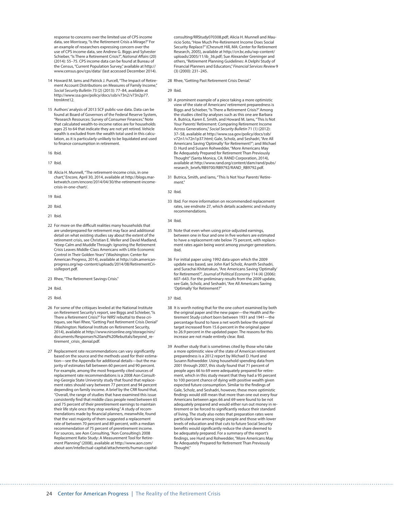response to concerns over the limited use of CPS income data, see Morrissey, "Is the Retirement Crisis a Mirage?" For an example of researchers expressing concern over the use of CPS income data, see Andrew G. Biggs and Sylvester Schieber, "Is There a Retirement Crisis?", *National Affairs* (20) (2014): 55–75. CPS income data can be found at Bureau of the Census, "Current Population Survey," available at [http://](http://www.census.gov/cps/data/) [www.census.gov/cps/data/](http://www.census.gov/cps/data/) (last accessed December 2014).

- 14 Howard M. Jams and Patrick J. Purcell, "The Impact of Retirement Account Distributions on Measures of Family Income," *Social Security Bulletin* 73 (2) (2013): 77–84, available at http://www.ssa.gov/policy/docs/ssb/v73n2/v73n2p77. html#mt12.
- 15 Authors' analysis of 2013 SCF public-use data. Data can be found at Board of Governors of the Federal Reserve System, "Research Resources: Survey of Consumer Finances." Note that calculated wealth-to-income ratios are for households ages 25 to 64 that indicate they are not yet retired. Vehicle wealth is excluded from the wealth total used in this calculation, as it is particularly unlikely to be liquidated and used to finance consumption in retirement.
- 16 Ibid.
- 17 Ibid.
- 18 Alicia H. Munnell, "The retirement-income crisis, in one chart," Encore, April 30, 2014, available at [http://blogs.mar](http://blogs.marketwatch.com/encore/2014/04/30/the-retirement-income-crisis-in-one-chart/)[ketwatch.com/encore/2014/04/30/the-retirement-income](http://blogs.marketwatch.com/encore/2014/04/30/the-retirement-income-crisis-in-one-chart/)[crisis-in-one-chart/.](http://blogs.marketwatch.com/encore/2014/04/30/the-retirement-income-crisis-in-one-chart/)
- 19 Ibid.
- 20 Ibid.
- 21 Ibid.
- 22 For more on the difficult realities many households that are underprepared for retirement may face and additional detail on what existing studies say about the extent of the retirement crisis, see Christian E. Weller and David Madland, "Keep Calm and Muddle Through: Ignoring the Retirement Crisis Leaves Middle-Class Americans with Little Economic Control in Their Golden Years" (Washington: Center for American Progress, 2014), available at [http://cdn.american](http://cdn.americanprogress.org/wp-content/uploads/2014/08/RetirementCrisisReport.pdf)[progress.org/wp-content/uploads/2014/08/RetirementCri](http://cdn.americanprogress.org/wp-content/uploads/2014/08/RetirementCrisisReport.pdf)[sisReport.pdf.](http://cdn.americanprogress.org/wp-content/uploads/2014/08/RetirementCrisisReport.pdf)
- 23 Rhee, "The Retirement Savings Crisis."
- 24 Ibid.
- 25 Ibid.
- 26 For some of the critiques leveled at the National Institute on Retirement Security's report, see Biggs and Schieber, "Is There a Retirement Crisis?" For NIRS' rebuttal to these critiques, see Nari Rhee, "Getting Past Retirement Crisis Denial" (Washington: National Institute on Retirement Security, 2014), available at [http://www.nirsonline.org/storage/nirs/](http://www.nirsonline.org/storage/nirs/documents/Responses%20and%20Rebuttals/beyond_retirement_crisis_denial.pdf) [documents/Responses%20and%20Rebuttals/beyond\\_re](http://www.nirsonline.org/storage/nirs/documents/Responses%20and%20Rebuttals/beyond_retirement_crisis_denial.pdf)[tirement\\_crisis\\_denial.pdf](http://www.nirsonline.org/storage/nirs/documents/Responses%20and%20Rebuttals/beyond_retirement_crisis_denial.pdf).
- 27 Replacement rate recommendations can vary significantly based on the source and the methods used for their estimation—see the Appendix for additional details—but the majority of estimates fall between 60 percent and 90 percent. For example, among the most frequently cited sources of replacement rate recommendations is a 2008 Aon Consulting-Georgia State University study that found that replacement rates should vary between 77 percent and 94 percent depending on family income. A brief by the CRR found that, "Overall, the range of studies that have examined this issue consistently find that middle class people need between 65 and 75 percent of their preretirement earnings to maintain their life style once they stop working." A study of recommendations made by financial planners, meanwhile, found that the vast majority of them suggested a replacement rate of between 70 percent and 89 percent, with a median recommendation of 75 percent of preretirement income. For sources, see Aon Consulting, "Aon Consulting's 2008 Replacement Ratio Study: A Measurement Tool for Retirement Planning" (2008), available at [http://www.aon.com/](http://www.aon.com/about-aon/intellectual-capital/attachments/human-capital-consulting/RRStudy070308.pdf) [about-aon/intellectual-capital/attachments/human-capital-](http://www.aon.com/about-aon/intellectual-capital/attachments/human-capital-consulting/RRStudy070308.pdf)

[consulting/RRStudy070308.pdf;](http://www.aon.com/about-aon/intellectual-capital/attachments/human-capital-consulting/RRStudy070308.pdf) Alicia H. Munnell and Mauricio Soto, "How Much Pre-Retirement Income Does Social Security Replace?" (Chesnutt Hill, MA: Center for Retirement Research, 2005), available at [http://crr.bc.edu/wp-content/](http://crr.bc.edu/wp-content/uploads/2005/11/ib_36.pdf) [uploads/2005/11/ib\\_36.pdf;](http://crr.bc.edu/wp-content/uploads/2005/11/ib_36.pdf) Sue Alexander Greninger and others, "Retirement Planning Guidelines: A Delphi Study of Financial Planners and Educators," *Financial Services Review* 9 (3) (2000): 231–245.

28 Rhee, "Getting Past Retirement Crisis Denial."

29 Ibid

- 30 A prominent example of a piece taking a more optimistic view of the state of Americans' retirement preparedness is Biggs and Schieber, "Is There a Retirement Crisis?" Among the studies cited by analyses such as this one are Barbara A. Butrica, Karen E. Smith, and Howard M. Iams, "This Is Not Your Parents' Retirement: Comparing Retirement Income Across Generations," *Social Security Bulletin* 71 (1) (2012): 37–58, available at [http://www.ssa.gov/policy/docs/ssb/](http://www.ssa.gov/policy/docs/ssb/v72n1/v72n1p37.html) [v72n1/v72n1p37.html](http://www.ssa.gov/policy/docs/ssb/v72n1/v72n1p37.html); Gale, Scholz, and Seshadri, "Are All Americans Saving 'Optimally' for Retirement?"; and Michael D. Hurd and Susann Rohwedder, "More Americans May Be Adequately Prepared for Retirement Than Previously Thought" (Santa Monica, CA: RAND Corporation, 2014), available at [http://www.rand.org/content/dam/rand/pubs/](http://www.rand.org/content/dam/rand/pubs/research_briefs/RB9700/RB9792/RAND_RB9792.pdf) [research\\_briefs/RB9700/RB9792/RAND\\_RB9792.pdf.](http://www.rand.org/content/dam/rand/pubs/research_briefs/RB9700/RB9792/RAND_RB9792.pdf)
- 31 Butrica, Smith, and Iams, "This Is Not Your Parents' Retirement."

32 Ibid.

33 Ibid. For more information on recommended replacement rates, see endnote 27, which details academic and industry recommendations.

- 35 Note that even when using price-adjusted earnings, between one in four and one in five workers are estimated to have a replacement rate below 75 percent, with replacement rates again being worst among younger generations. Ibid.
- 36 For initial paper using 1992 data upon which the 2009 update was based, see John Karl Scholz, Ananth Seshadri, and Surachai Khitatrakun, "Are Americans Saving 'Optimally' for Retirement?", *Journal of Political Economy* 114 (4) (2006): 607–643. For the preliminary results from the 2009 update, see Gale, Scholz, and Seshadri, "Are All Americans Saving 'Optimally' for Retirement?"
- 37 Ibid.
- 38 It is worth noting that for the one cohort examined by both the original paper and the new paper—the Health and Retirement Study cohort born between 1931 and 1941—the percentage found to have a net worth below the optimal target increased from 15.6 percent in the original paper to 26.9 percent in the updated paper. The reasons for this increase are not made entirely clear. Ibid.
- 39 Another study that is sometimes cited by those who take a more optimistic view of the state of American retirement preparedness is a 2012 report by Michael D. Hurd and Susann Rohwedder. Using household spending data from 2001 through 2007, this study found that 71 percent of people ages 66 to 69 were adequately prepared for retirement, which in this study meant that they had a 95 percent to 100 percent chance of dying with positive wealth given expected future consumption. Similar to the findings of Gale, Scholz, and Seshadri, however, these more optimistic findings would still mean that more than one out every four Americans between ages 66 and 69 were found to be not adequately prepared and would either run out money in retirement or be forced to significantly reduce their standard of living. The study also notes that preparation rates were particularly low among single people and those with lower levels of education and that cuts to future Social Security benefits would significantly reduce the share deemed to be adequately prepared. For a summary of the report's findings, see Hurd and Rohwedder, "More Americans May Be Adequately Prepared for Retirement Than Previously Thought."

<sup>34</sup> Ibid.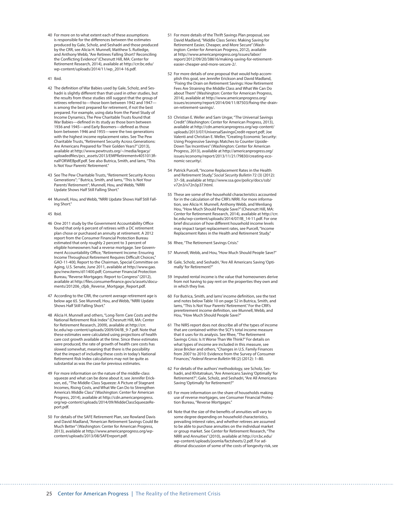- 40 For more on to what extent each of these assumptions is responsible for the differences between the estimates produced by Gale, Scholz, and Seshadri and those produced by the CRR, see Alicia H. Munnell, Matthew S. Rutledge, and Anthony Webb, "Are Retirees Falling Short? Reconciling the Conflicting Evidence" (Chesnutt Hill, MA: Center for Retirement Research, 2014), available at [http://crr.bc.edu/](http://crr.bc.edu/wp-content/uploads/2014/11/wp_2014-16.pdf) [wp-content/uploads/2014/11/wp\\_2014-16.pdf.](http://crr.bc.edu/wp-content/uploads/2014/11/wp_2014-16.pdf)
- 41 Ibid.
- 42 The definition of War Babies used by Gale, Scholz, and Seshadri is slightly different than that used in other studies, but the results from these studies still suggest that the group of retirees referred to—those born between 1942 and 1947 is among the best prepared for retirement, if not the best prepared. For example, using data from the Panel Study of Income Dynamics, The Pew Charitable Trusts found that War Babies—defined in its study as those born between 1936 and 1945—and Early Boomers—defined as those born between 1946 and 1955—were the two generations with the highest income replacement rates. See The Pew Charitable Trusts, "Retirement Security Across Generations: Are Americans Prepared for Their Golden Years?" (2013), available at [http://www.pewtrusts.org/~/media/legacy/](http://www.pewtrusts.org/~/media/legacy/uploadedfiles/pcs_assets/2013/EMPRetirementv4051013finalFORWEBpdf.pdf) [uploadedfiles/pcs\\_assets/2013/EMPRetirementv4051013fi](http://www.pewtrusts.org/~/media/legacy/uploadedfiles/pcs_assets/2013/EMPRetirementv4051013finalFORWEBpdf.pdf)[nalFORWEBpdf.pdf](http://www.pewtrusts.org/~/media/legacy/uploadedfiles/pcs_assets/2013/EMPRetirementv4051013finalFORWEBpdf.pdf). See also Butrica, Smith, and Iams, "This Is Not Your Parents' Retirement."
- 43 See The Pew Charitable Trusts, "Retirement Security Across Generations"; " Butrica, Smith, and Iams, "This Is Not Your Parents' Retirement"; Munnell, Hou, and Webb, "NRRI Update Shows Half Still Falling Short."
- 44 Munnell, Hou, and Webb, "NRRI Update Shows Half Still Falling Short."
- 45 Ibid.
- 46 One 2011 study by the Government Accountability Office found that only 6 percent of retirees with a DC retirement plan chose or purchased an annuity at retirement. A 2012 report from the Consumer Financial Protection Bureau estimated that only roughly 2 percent to 3 percent of eligible homeowners had a reverse mortgage. See Government Accountability Office, "Retirement Income: Ensuring Income Throughout Retirement Requires Difficult Choices," GAO-11-400, Report to the Chairman, Special Committee on Aging, U.S. Senate, June 2011, available at [http://www.gao.](http://www.gao.gov/new.items/d11400.pdf) [gov/new.items/d11400.pdf;](http://www.gao.gov/new.items/d11400.pdf) Consumer Financial Protection Bureau, "Reverse Mortgages: Report to Congress" (2012), available at [http://files.consumerfinance.gov/a/assets/docu](http://files.consumerfinance.gov/a/assets/documents/201206_cfpb_Reverse_Mortgage_Report.pdf)[ments/201206\\_cfpb\\_Reverse\\_Mortgage\\_Report.pdf](http://files.consumerfinance.gov/a/assets/documents/201206_cfpb_Reverse_Mortgage_Report.pdf).
- 47 According to the CRR, the current average retirement age is below age 65. See Munnell, Hou, and Webb, "NRRI Update Shows Half Still Falling Short."
- 48 Alicia H. Munnell and others, "Long-Term Care Costs and the National Retirement Risk Index" (Chesnutt Hill, MA: Center for Retirement Research, 2009), available at [http://crr.](http://crr.bc.edu/wp-content/uploads/2009/04/IB_9-7.pdf) [bc.edu/wp-content/uploads/2009/04/IB\\_9-7.pdf.](http://crr.bc.edu/wp-content/uploads/2009/04/IB_9-7.pdf) Note that these estimates were calculated using projections of health care cost growth available at the time. Since these estimates were produced, the rate of growth of health care costs has slowed somewhat, meaning that there is the possibility that the impact of including these costs in today's National Retirement Risk Index calculations may not be quite as substantial as was the case for previous estimates.
- 49 For more information on the nature of the middle-class squeeze and what can be done about it, see Jennifer Erick-son, ed., "The Middle-Class Squeeze: A Picture of Stagnant Incomes, Rising Costs, and What We Can Do to Strengthen America's Middle Class" (Washington: Center for American Progress, 2014), available at [http://cdn.americanprogress.](http://cdn.americanprogress.org/wp-content/uploads/2014/09/MiddeClassSqueezeReport.pdf) [org/wp-content/uploads/2014/09/MiddeClassSqueezeRe](http://cdn.americanprogress.org/wp-content/uploads/2014/09/MiddeClassSqueezeReport.pdf)[port.pdf](http://cdn.americanprogress.org/wp-content/uploads/2014/09/MiddeClassSqueezeReport.pdf).
- 50 For details of the SAFE Retirement Plan, see Rowland Davis and David Madland, "American Retirement Savings Could Be Much Better" (Washington: Center for American Progress, 2013), available at [http://www.americanprogress.org/wp](http://www.americanprogress.org/wp-content/uploads/2013/08/SAFEreport.pdf)[content/uploads/2013/08/SAFEreport.pdf.](http://www.americanprogress.org/wp-content/uploads/2013/08/SAFEreport.pdf)
- 51 For more details of the Thrift Savings Plan proposal, see David Madland, "Middle Class Series: Making Saving for Retirement Easier, Cheaper, and More Secure" (Washington: Center for American Progress, 2012), available at [http://www.americanprogress.org/issues/labor/](http://www.americanprogress.org/issues/labor/report/2012/09/20/38616/making-saving-for-retirement-easier-cheaper-and-more-secure-2/) [report/2012/09/20/38616/making-saving-for-retirement](http://www.americanprogress.org/issues/labor/report/2012/09/20/38616/making-saving-for-retirement-easier-cheaper-and-more-secure-2/)[easier-cheaper-and-more-secure-2/](http://www.americanprogress.org/issues/labor/report/2012/09/20/38616/making-saving-for-retirement-easier-cheaper-and-more-secure-2/).
- 52 For more details of one proposal that would help accomplish this goal, see Jennifer Erickson and David Madland, "Fixing the Drain on Retirement Savings: How Retirement Fees Are Straining the Middle Class and What We Can Do about Them" (Washington: Center for American Progress, 2014), available at [http://www.americanprogress.org/](http://www.americanprogress.org/issues/economy/report/2014/04/11/87503/fixing-the-drain-on-retirement-savings/) [issues/economy/report/2014/04/11/87503/fixing-the-drain](http://www.americanprogress.org/issues/economy/report/2014/04/11/87503/fixing-the-drain-on-retirement-savings/)[on-retirement-savings/](http://www.americanprogress.org/issues/economy/report/2014/04/11/87503/fixing-the-drain-on-retirement-savings/).
- 53 Christian E. Weller and Sam Ungar, "The Universal Savings Credit" (Washington: Center for American Progress, 2013), available at [http://cdn.americanprogress.org/wp-content/](http://cdn.americanprogress.org/wp-content/uploads/2013/07/UniversalSavingsCredit-report.pdf) [uploads/2013/07/UniversalSavingsCredit-report.pdf;](http://cdn.americanprogress.org/wp-content/uploads/2013/07/UniversalSavingsCredit-report.pdf) Joe Valenti and Christian E. Weller, "Creating Economic Security: Using Progressive Savings Matches to Counter Upside-Down Tax Incentives" (Washington: Center for American Progress, 2013), available at [http://americanprogress.org/](http://americanprogress.org/issues/economy/report/2013/11/21/79830/creating-economic-security/) [issues/economy/report/2013/11/21/79830/creating-eco](http://americanprogress.org/issues/economy/report/2013/11/21/79830/creating-economic-security/)[nomic-security/.](http://americanprogress.org/issues/economy/report/2013/11/21/79830/creating-economic-security/)
- 54 Patrick Purcell, "Income Replacement Rates in the Health and Retirement Study," *Social Security Bulletin* 72 (3) (2012): 37–58, available at [http://www.ssa.gov/policy/docs/ssb/](http://www.ssa.gov/policy/docs/ssb/v72n3/v72n3p37.html) [v72n3/v72n3p37.html](http://www.ssa.gov/policy/docs/ssb/v72n3/v72n3p37.html).
- 55 These are some of the household characteristics accounted for in the calculation of the CRR's NRRI. For more information, see Alicia H. Munnell, Anthony Webb, and Wenliang Hou, "How Much Should People Save?" (Chesnutt Hill, MA: Center for Retirement Research, 2014), available at [http://crr.](http://crr.bc.edu/wp-content/uploads/2014/07/IB_14-11.pdf) [bc.edu/wp-content/uploads/2014/07/IB\\_14-11.pdf](http://crr.bc.edu/wp-content/uploads/2014/07/IB_14-11.pdf). For one brief discussion of how different household income levels may impact target replacement rates, see Purcell, "Income Replacement Rates in the Health and Retirement Study."
- 56 Rhee, "The Retirement Savings Crisis."
- 57 Munnell, Webb, and Hou, "How Much Should People Save?"
- 58 Gale, Scholz, and Seshadri, "Are All Americans Saving 'Optimally' for Retirement?"
- 59 Imputed rental income is the value that homeowners derive from not having to pay rent on the properties they own and in which they live.
- 60 For Butrica, Smith, and Iams' income definition, see the text and notes below Table 10 on page 52 in Butrica, Smith, and Iams, "This Is Not Your Parents' Retirement." For the CRR's preretirement income definition, see Munnell, Webb, and Hou, "How Much Should People Save?
- 61 The NIRS report does not describe all of the types of income that are contained within the SCF's total income measure that it uses for its analysis. See Rhee, "The Retirement Savings Crisis: Is It Worse Than We Think?" For details on what types of income are included in this measure, see Jesse Bricker and others, "Changes in U.S. Family Finances from 2007 to 2010: Evidence from the Survey of Consumer Finances," *Federal Reserve Bulletin* 98 (2) (2012): 1–80.
- 62 For details of the authors' methodology, see Scholz, Seshadri, and Khitatrakun, "Are Americans Saving 'Optimally' for Retirement?"; Gale, Scholz, and Seshadri, "Are All Americans Saving 'Optimally' for Retirement?
- 63 For more information on the share of households making use of reverse mortgages, see Consumer Financial Protection Bureau, "Reverse Mortgages."
- 64 Note that the size of the benefits of annuities will vary to some degree depending on household characteristics, prevailing interest rates, and whether retirees are assumed to be able to purchase annuities on the individual market or group market. See Center for Retirement Research, "The NRRI and Annuities" (2010), available at [http://crr.bc.edu/](http://crr.bc.edu/wp-content/uploads/joomla/factsheets/2.pdf) [wp-content/uploads/joomla/factsheets/2.pdf.](http://crr.bc.edu/wp-content/uploads/joomla/factsheets/2.pdf) For additional discussion of some of the costs of longevity risk, see